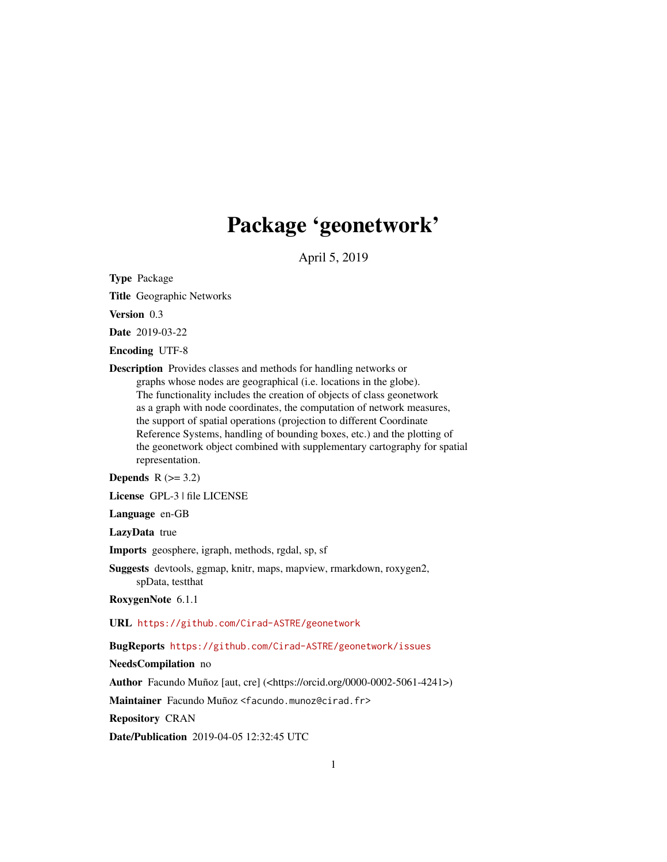## Package 'geonetwork'

April 5, 2019

<span id="page-0-0"></span>Type Package

Title Geographic Networks

Version 0.3

Date 2019-03-22

Encoding UTF-8

Description Provides classes and methods for handling networks or graphs whose nodes are geographical (i.e. locations in the globe). The functionality includes the creation of objects of class geonetwork as a graph with node coordinates, the computation of network measures, the support of spatial operations (projection to different Coordinate Reference Systems, handling of bounding boxes, etc.) and the plotting of the geonetwork object combined with supplementary cartography for spatial representation.

Depends  $R$  ( $>= 3.2$ )

License GPL-3 | file LICENSE

Language en-GB

LazyData true

Imports geosphere, igraph, methods, rgdal, sp, sf

Suggests devtools, ggmap, knitr, maps, mapview, rmarkdown, roxygen2, spData, testthat

RoxygenNote 6.1.1

URL <https://github.com/Cirad-ASTRE/geonetwork>

BugReports <https://github.com/Cirad-ASTRE/geonetwork/issues>

NeedsCompilation no

Author Facundo Muñoz [aut, cre] (<https://orcid.org/0000-0002-5061-4241>)

Maintainer Facundo Muñoz <facundo.munoz@cirad.fr>

Repository CRAN

Date/Publication 2019-04-05 12:32:45 UTC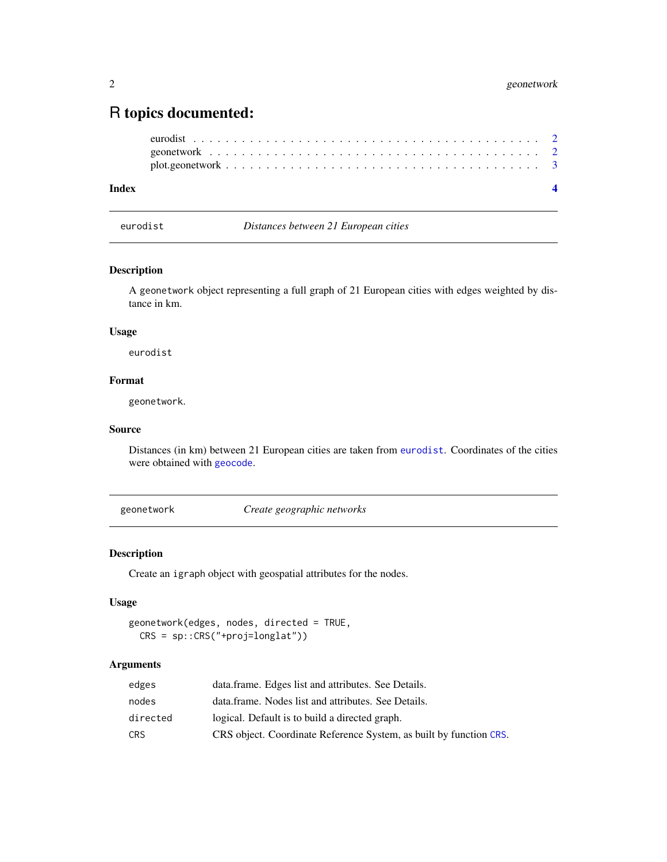### <span id="page-1-0"></span>R topics documented:

#### **Index** [4](#page-3-0)

<span id="page-1-1"></span>

eurodist *Distances between 21 European cities*

#### Description

A geonetwork object representing a full graph of 21 European cities with edges weighted by distance in km.

#### Usage

eurodist

#### Format

geonetwork.

#### Source

Distances (in km) between 21 European cities are taken from [eurodist](#page-1-1). Coordinates of the cities were obtained with [geocode](#page-0-0).

geonetwork *Create geographic networks*

#### Description

Create an igraph object with geospatial attributes for the nodes.

#### Usage

```
geonetwork(edges, nodes, directed = TRUE,
 CRS = sp::CRS("+proj=longlat"))
```
#### Arguments

| edges    | data.frame. Edges list and attributes. See Details.                |
|----------|--------------------------------------------------------------------|
| nodes    | data.frame. Nodes list and attributes. See Details.                |
| directed | logical. Default is to build a directed graph.                     |
| CRS.     | CRS object. Coordinate Reference System, as built by function CRS. |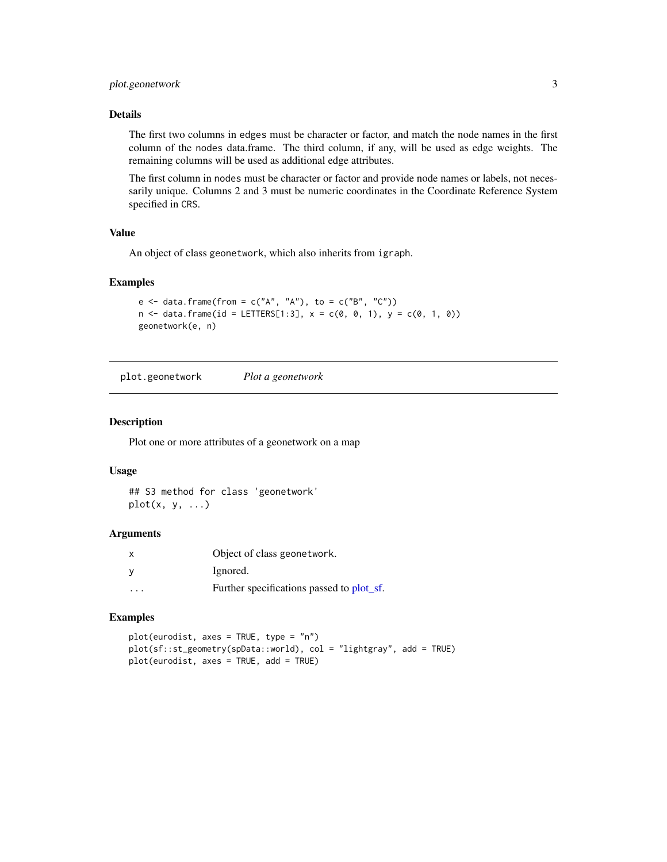#### <span id="page-2-0"></span>plot.geonetwork 3

#### Details

The first two columns in edges must be character or factor, and match the node names in the first column of the nodes data.frame. The third column, if any, will be used as edge weights. The remaining columns will be used as additional edge attributes.

The first column in nodes must be character or factor and provide node names or labels, not necessarily unique. Columns 2 and 3 must be numeric coordinates in the Coordinate Reference System specified in CRS.

#### Value

An object of class geonetwork, which also inherits from igraph.

#### Examples

```
e \leq - data.frame(from = c("A", "A"), to = c("B", "C"))
n \leq - data.frame(id = LETTERS[1:3], x = c(0, 0, 1), y = c(0, 1, 0))
geonetwork(e, n)
```
plot.geonetwork *Plot a geonetwork*

#### Description

Plot one or more attributes of a geonetwork on a map

#### Usage

```
## S3 method for class 'geonetwork'
plot(x, y, \ldots)
```
#### Arguments

|          | Object of class geonetwork.               |
|----------|-------------------------------------------|
|          | Ignored.                                  |
| $\cdots$ | Further specifications passed to plot_sf. |

#### Examples

```
plot(eurodist, axes = TRUE, type = "n")
plot(sf::st_geometry(spData::world), col = "lightgray", add = TRUE)
plot(eurodist, axes = TRUE, add = TRUE)
```